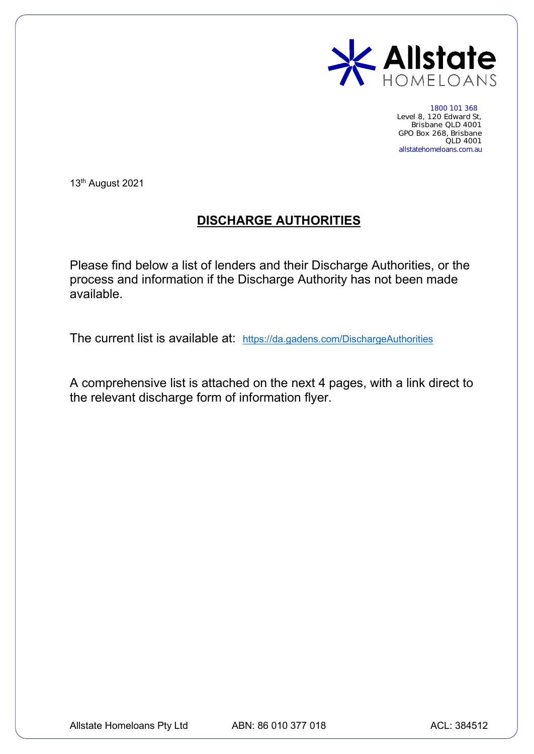

1800 101 368 Level 8, 120 Edward St, Brisbane QLD 4001 GPO Box 268, Brisbane QLD 4001 allstatehomeloans.com.au

13th August 2021

## **DISCHARGE AUTHORITIES**

Please find below a list of lenders and their Discharge Authorities, or the process and information if the Discharge Authority has not been made available.

The current list is available at: [https://da.gadens.com/DischargeAuthorities](https://aus01.safelinks.protection.outlook.com/?url=https%3A%2F%2Fda.gadens.com%2FDischargeAuthorities&data=04%7C01%7Ctwells%40allstatehomeloans.com.au%7C973a67da29ea470f0c0608d95bd24b05%7C939182a6f44d48a7bbd0ebb375d9a0f9%7C1%7C1%7C637641781038651562%7CUnknown%7CTWFpbGZsb3d8eyJWIjoiMC4wLjAwMDAiLCJQIjoiV2luMzIiLCJBTiI6Ik1haWwiLCJXVCI6Mn0%3D%7C1000&sdata=Q4%2F%2F29i9xEr6JgNJkvIVBWf0rLjt3XdTykeebXriqwE%3D&reserved=0)

A comprehensive list is attached on the next 4 pages, with a link direct to the relevant discharge form of information flyer.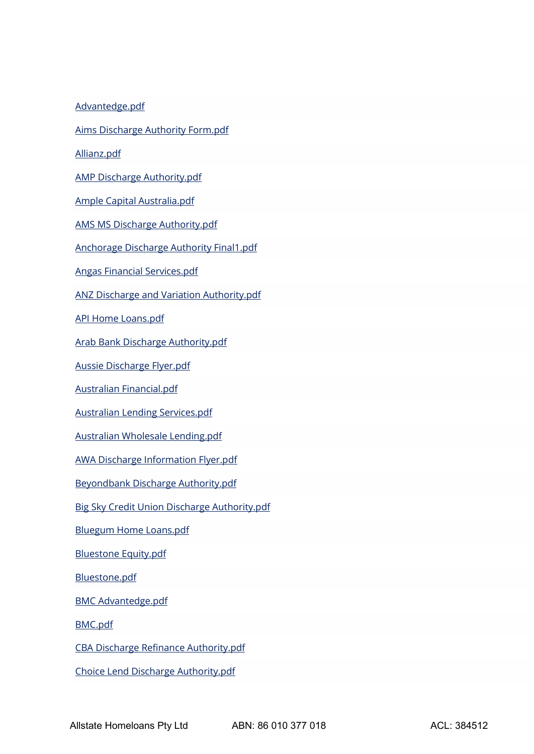[Advantedge.pdf](https://aus01.safelinks.protection.outlook.com/?url=https%3A%2F%2Fda.gadens.com%2FDischargeAuthorities%2FDocuments%2FAdvantedge.pdf&data=04%7C01%7Ctwells%40allstatehomeloans.com.au%7C973a67da29ea470f0c0608d95bd24b05%7C939182a6f44d48a7bbd0ebb375d9a0f9%7C1%7C1%7C637641781038103979%7CUnknown%7CTWFpbGZsb3d8eyJWIjoiMC4wLjAwMDAiLCJQIjoiV2luMzIiLCJBTiI6Ik1haWwiLCJXVCI6Mn0%3D%7C1000&sdata=8va781et3MqT69eTibdr8a86hu%2F6uYVatEtuM8c5UFw%3D&reserved=0)

[Aims Discharge Authority Form.pdf](https://aus01.safelinks.protection.outlook.com/?url=https%3A%2F%2Fda.gadens.com%2FDischargeAuthorities%2FDocuments%2FAims%2520Discharge%2520Authority%2520Form.pdf&data=04%7C01%7Ctwells%40allstatehomeloans.com.au%7C973a67da29ea470f0c0608d95bd24b05%7C939182a6f44d48a7bbd0ebb375d9a0f9%7C1%7C1%7C637641781038113933%7CUnknown%7CTWFpbGZsb3d8eyJWIjoiMC4wLjAwMDAiLCJQIjoiV2luMzIiLCJBTiI6Ik1haWwiLCJXVCI6Mn0%3D%7C1000&sdata=UqJzFHPWkcHM8ZfXrHTyTfSYhV9CcjIbdUPx40gfL4Q%3D&reserved=0)

[Allianz.pdf](https://aus01.safelinks.protection.outlook.com/?url=https%3A%2F%2Fda.gadens.com%2FDischargeAuthorities%2FDocuments%2FAllianz.pdf&data=04%7C01%7Ctwells%40allstatehomeloans.com.au%7C973a67da29ea470f0c0608d95bd24b05%7C939182a6f44d48a7bbd0ebb375d9a0f9%7C1%7C1%7C637641781038113933%7CUnknown%7CTWFpbGZsb3d8eyJWIjoiMC4wLjAwMDAiLCJQIjoiV2luMzIiLCJBTiI6Ik1haWwiLCJXVCI6Mn0%3D%7C1000&sdata=dReSYDA9x%2F%2B0lbleQ%2FRZQXAhQLBIgQxLeYBsYUZ56YU%3D&reserved=0)

[AMP Discharge Authority.pdf](https://aus01.safelinks.protection.outlook.com/?url=https%3A%2F%2Fda.gadens.com%2FDischargeAuthorities%2FDocuments%2FAMP%2520Discharge%2520Authority.pdf&data=04%7C01%7Ctwells%40allstatehomeloans.com.au%7C973a67da29ea470f0c0608d95bd24b05%7C939182a6f44d48a7bbd0ebb375d9a0f9%7C1%7C1%7C637641781038123891%7CUnknown%7CTWFpbGZsb3d8eyJWIjoiMC4wLjAwMDAiLCJQIjoiV2luMzIiLCJBTiI6Ik1haWwiLCJXVCI6Mn0%3D%7C1000&sdata=T0ynSYaD7BUqwciEBuyN7sTID2wQI85W9S7%2B0bicVvo%3D&reserved=0)

[Ample Capital Australia.pdf](https://aus01.safelinks.protection.outlook.com/?url=https%3A%2F%2Fda.gadens.com%2FDischargeAuthorities%2FDocuments%2FAmple%2520Capital%2520Australia.pdf&data=04%7C01%7Ctwells%40allstatehomeloans.com.au%7C973a67da29ea470f0c0608d95bd24b05%7C939182a6f44d48a7bbd0ebb375d9a0f9%7C1%7C1%7C637641781038123891%7CUnknown%7CTWFpbGZsb3d8eyJWIjoiMC4wLjAwMDAiLCJQIjoiV2luMzIiLCJBTiI6Ik1haWwiLCJXVCI6Mn0%3D%7C1000&sdata=OG9Hn3et%2BIKtkbBkV9GpdYqkMFuEuVjUsyQ403RmN%2FQ%3D&reserved=0)

[AMS MS Discharge Authority.pdf](https://aus01.safelinks.protection.outlook.com/?url=https%3A%2F%2Fda.gadens.com%2FDischargeAuthorities%2FDocuments%2FAMS%2520MS%2520Discharge%2520Authority.pdf&data=04%7C01%7Ctwells%40allstatehomeloans.com.au%7C973a67da29ea470f0c0608d95bd24b05%7C939182a6f44d48a7bbd0ebb375d9a0f9%7C1%7C1%7C637641781038133849%7CUnknown%7CTWFpbGZsb3d8eyJWIjoiMC4wLjAwMDAiLCJQIjoiV2luMzIiLCJBTiI6Ik1haWwiLCJXVCI6Mn0%3D%7C1000&sdata=XmlD5uY1hGk49d7eljrF%2FxO75aZDV0mkWUiaAL3KN3I%3D&reserved=0)

[Anchorage Discharge Authority Final1.pdf](https://aus01.safelinks.protection.outlook.com/?url=https%3A%2F%2Fda.gadens.com%2FDischargeAuthorities%2FDocuments%2FAnchorage%2520Discharge%2520Authority%2520Final1.pdf&data=04%7C01%7Ctwells%40allstatehomeloans.com.au%7C973a67da29ea470f0c0608d95bd24b05%7C939182a6f44d48a7bbd0ebb375d9a0f9%7C1%7C1%7C637641781038133849%7CUnknown%7CTWFpbGZsb3d8eyJWIjoiMC4wLjAwMDAiLCJQIjoiV2luMzIiLCJBTiI6Ik1haWwiLCJXVCI6Mn0%3D%7C1000&sdata=%2FyiIGBv%2BurmS07%2FUdHck7qu5uY0UQMKHIWvlAszTkrs%3D&reserved=0)

[Angas Financial Services.pdf](https://aus01.safelinks.protection.outlook.com/?url=https%3A%2F%2Fda.gadens.com%2FDischargeAuthorities%2FDocuments%2FAngas%2520Financial%2520Services.pdf&data=04%7C01%7Ctwells%40allstatehomeloans.com.au%7C973a67da29ea470f0c0608d95bd24b05%7C939182a6f44d48a7bbd0ebb375d9a0f9%7C1%7C1%7C637641781038143802%7CUnknown%7CTWFpbGZsb3d8eyJWIjoiMC4wLjAwMDAiLCJQIjoiV2luMzIiLCJBTiI6Ik1haWwiLCJXVCI6Mn0%3D%7C1000&sdata=Jp%2Bi%2FYcRVkizI3T%2B4CG7rmkQCJ60qF0o87wphZ8e8Y0%3D&reserved=0)

[ANZ Discharge and Variation Authority.pdf](https://aus01.safelinks.protection.outlook.com/?url=https%3A%2F%2Fda.gadens.com%2FDischargeAuthorities%2FDocuments%2FANZ%2520Discharge%2520and%2520Variation%2520Authority.pdf&data=04%7C01%7Ctwells%40allstatehomeloans.com.au%7C973a67da29ea470f0c0608d95bd24b05%7C939182a6f44d48a7bbd0ebb375d9a0f9%7C1%7C1%7C637641781038143802%7CUnknown%7CTWFpbGZsb3d8eyJWIjoiMC4wLjAwMDAiLCJQIjoiV2luMzIiLCJBTiI6Ik1haWwiLCJXVCI6Mn0%3D%7C1000&sdata=GoK1K10WiHIqQbEVXH0SEGf1IuRK7Mld7yyhycGnIt4%3D&reserved=0)

[API Home Loans.pdf](https://aus01.safelinks.protection.outlook.com/?url=https%3A%2F%2Fda.gadens.com%2FDischargeAuthorities%2FDocuments%2FAPI%2520Home%2520Loans.pdf&data=04%7C01%7Ctwells%40allstatehomeloans.com.au%7C973a67da29ea470f0c0608d95bd24b05%7C939182a6f44d48a7bbd0ebb375d9a0f9%7C1%7C1%7C637641781038143802%7CUnknown%7CTWFpbGZsb3d8eyJWIjoiMC4wLjAwMDAiLCJQIjoiV2luMzIiLCJBTiI6Ik1haWwiLCJXVCI6Mn0%3D%7C1000&sdata=8WamO2YPeKIJKv99W0ykrirP%2FTPZUVl4v%2FRKXGVOgUg%3D&reserved=0)

[Arab Bank Discharge Authority.pdf](https://aus01.safelinks.protection.outlook.com/?url=https%3A%2F%2Fda.gadens.com%2FDischargeAuthorities%2FDocuments%2FArab%2520Bank%2520Discharge%2520Authority.pdf&data=04%7C01%7Ctwells%40allstatehomeloans.com.au%7C973a67da29ea470f0c0608d95bd24b05%7C939182a6f44d48a7bbd0ebb375d9a0f9%7C1%7C1%7C637641781038153757%7CUnknown%7CTWFpbGZsb3d8eyJWIjoiMC4wLjAwMDAiLCJQIjoiV2luMzIiLCJBTiI6Ik1haWwiLCJXVCI6Mn0%3D%7C1000&sdata=HpsdiVWOhnVo7BlTSwZUpOPnMQYFUm9JwsHfxrAXXlw%3D&reserved=0)

[Aussie Discharge Flyer.pdf](https://aus01.safelinks.protection.outlook.com/?url=https%3A%2F%2Fda.gadens.com%2FDischargeAuthorities%2FDocuments%2FAussie%2520Discharge%2520Flyer.pdf&data=04%7C01%7Ctwells%40allstatehomeloans.com.au%7C973a67da29ea470f0c0608d95bd24b05%7C939182a6f44d48a7bbd0ebb375d9a0f9%7C1%7C1%7C637641781038153757%7CUnknown%7CTWFpbGZsb3d8eyJWIjoiMC4wLjAwMDAiLCJQIjoiV2luMzIiLCJBTiI6Ik1haWwiLCJXVCI6Mn0%3D%7C1000&sdata=gfrPWD%2FiYAa9wDFvdwdZLaFq1BqAzibKsZreuVKvQs0%3D&reserved=0)

[Australian Financial.pdf](https://aus01.safelinks.protection.outlook.com/?url=https%3A%2F%2Fda.gadens.com%2FDischargeAuthorities%2FDocuments%2FAustralian%2520Financial.pdf&data=04%7C01%7Ctwells%40allstatehomeloans.com.au%7C973a67da29ea470f0c0608d95bd24b05%7C939182a6f44d48a7bbd0ebb375d9a0f9%7C1%7C1%7C637641781038163714%7CUnknown%7CTWFpbGZsb3d8eyJWIjoiMC4wLjAwMDAiLCJQIjoiV2luMzIiLCJBTiI6Ik1haWwiLCJXVCI6Mn0%3D%7C1000&sdata=W04GTasG9ehDwRAbQ0hyG47MzqufqHhARnMKrX%2F4pK4%3D&reserved=0)

[Australian Lending Services.pdf](https://aus01.safelinks.protection.outlook.com/?url=https%3A%2F%2Fda.gadens.com%2FDischargeAuthorities%2FDocuments%2FAustralian%2520Lending%2520Services.pdf&data=04%7C01%7Ctwells%40allstatehomeloans.com.au%7C973a67da29ea470f0c0608d95bd24b05%7C939182a6f44d48a7bbd0ebb375d9a0f9%7C1%7C1%7C637641781038163714%7CUnknown%7CTWFpbGZsb3d8eyJWIjoiMC4wLjAwMDAiLCJQIjoiV2luMzIiLCJBTiI6Ik1haWwiLCJXVCI6Mn0%3D%7C1000&sdata=LrVWexMuxK8BGDnJA5maVrViszAWQw9l9rpDi%2BogiPY%3D&reserved=0)

[Australian Wholesale Lending.pdf](https://aus01.safelinks.protection.outlook.com/?url=https%3A%2F%2Fda.gadens.com%2FDischargeAuthorities%2FDocuments%2FAustralian%2520Wholesale%2520Lending.pdf&data=04%7C01%7Ctwells%40allstatehomeloans.com.au%7C973a67da29ea470f0c0608d95bd24b05%7C939182a6f44d48a7bbd0ebb375d9a0f9%7C1%7C1%7C637641781038173667%7CUnknown%7CTWFpbGZsb3d8eyJWIjoiMC4wLjAwMDAiLCJQIjoiV2luMzIiLCJBTiI6Ik1haWwiLCJXVCI6Mn0%3D%7C1000&sdata=z3cb78gWJQtfcn7b8IUPsGv2Rt5ARppBUoN7zJNvq%2FA%3D&reserved=0)

[AWA Discharge Information](https://aus01.safelinks.protection.outlook.com/?url=https%3A%2F%2Fda.gadens.com%2FDischargeAuthorities%2FDocuments%2FAWA%2520Discharge%2520Information%2520Flyer.pdf&data=04%7C01%7Ctwells%40allstatehomeloans.com.au%7C973a67da29ea470f0c0608d95bd24b05%7C939182a6f44d48a7bbd0ebb375d9a0f9%7C1%7C1%7C637641781038173667%7CUnknown%7CTWFpbGZsb3d8eyJWIjoiMC4wLjAwMDAiLCJQIjoiV2luMzIiLCJBTiI6Ik1haWwiLCJXVCI6Mn0%3D%7C1000&sdata=fZZ2tTN5Ib%2B85dmeQq47R5%2F7haOvs4iG5oal%2BI1MN0Y%3D&reserved=0) Flyer.pdf

[Beyondbank Discharge Authority.pdf](https://aus01.safelinks.protection.outlook.com/?url=https%3A%2F%2Fda.gadens.com%2FDischargeAuthorities%2FDocuments%2FBeyondbank%2520Discharge%2520Authority.pdf&data=04%7C01%7Ctwells%40allstatehomeloans.com.au%7C973a67da29ea470f0c0608d95bd24b05%7C939182a6f44d48a7bbd0ebb375d9a0f9%7C1%7C1%7C637641781038253321%7CUnknown%7CTWFpbGZsb3d8eyJWIjoiMC4wLjAwMDAiLCJQIjoiV2luMzIiLCJBTiI6Ik1haWwiLCJXVCI6Mn0%3D%7C1000&sdata=VgkNCm5sUKHmTSHqcUlptroRmZtQmoR6%2FOe0EV29RkE%3D&reserved=0)

[Big Sky Credit Union Discharge Authority.pdf](https://aus01.safelinks.protection.outlook.com/?url=https%3A%2F%2Fda.gadens.com%2FDischargeAuthorities%2FDocuments%2FBig%2520Sky%2520Credit%2520Union%2520Discharge%2520Authority.pdf&data=04%7C01%7Ctwells%40allstatehomeloans.com.au%7C973a67da29ea470f0c0608d95bd24b05%7C939182a6f44d48a7bbd0ebb375d9a0f9%7C1%7C1%7C637641781038253321%7CUnknown%7CTWFpbGZsb3d8eyJWIjoiMC4wLjAwMDAiLCJQIjoiV2luMzIiLCJBTiI6Ik1haWwiLCJXVCI6Mn0%3D%7C1000&sdata=MfxIcpcxRivxo5K3rbpuYix1LCAcC%2BxwFsIVAlcsL2g%3D&reserved=0)

[Bluegum Home Loans.pdf](https://aus01.safelinks.protection.outlook.com/?url=https%3A%2F%2Fda.gadens.com%2FDischargeAuthorities%2FDocuments%2FBluegum%2520Home%2520Loans.pdf&data=04%7C01%7Ctwells%40allstatehomeloans.com.au%7C973a67da29ea470f0c0608d95bd24b05%7C939182a6f44d48a7bbd0ebb375d9a0f9%7C1%7C1%7C637641781038253321%7CUnknown%7CTWFpbGZsb3d8eyJWIjoiMC4wLjAwMDAiLCJQIjoiV2luMzIiLCJBTiI6Ik1haWwiLCJXVCI6Mn0%3D%7C1000&sdata=k6%2FVkEsTiSJgJUkuLsRpUGhpq%2Fr%2FDR7hwIx7DREZqN0%3D&reserved=0)

[Bluestone Equity.pdf](https://aus01.safelinks.protection.outlook.com/?url=https%3A%2F%2Fda.gadens.com%2FDischargeAuthorities%2FDocuments%2FBluestone%2520Equity.pdf&data=04%7C01%7Ctwells%40allstatehomeloans.com.au%7C973a67da29ea470f0c0608d95bd24b05%7C939182a6f44d48a7bbd0ebb375d9a0f9%7C1%7C1%7C637641781038263284%7CUnknown%7CTWFpbGZsb3d8eyJWIjoiMC4wLjAwMDAiLCJQIjoiV2luMzIiLCJBTiI6Ik1haWwiLCJXVCI6Mn0%3D%7C1000&sdata=KKH812Szq0pNDDmxMoCORW8rGwN8l1H1fvisL%2FVQPug%3D&reserved=0)

[Bluestone.pdf](https://aus01.safelinks.protection.outlook.com/?url=https%3A%2F%2Fda.gadens.com%2FDischargeAuthorities%2FDocuments%2FBluestone.pdf&data=04%7C01%7Ctwells%40allstatehomeloans.com.au%7C973a67da29ea470f0c0608d95bd24b05%7C939182a6f44d48a7bbd0ebb375d9a0f9%7C1%7C1%7C637641781038263284%7CUnknown%7CTWFpbGZsb3d8eyJWIjoiMC4wLjAwMDAiLCJQIjoiV2luMzIiLCJBTiI6Ik1haWwiLCJXVCI6Mn0%3D%7C1000&sdata=GNBaOMvOnUdT3NFEKHnmNkdFIaS%2F%2Fsuovdjw2QNHpbc%3D&reserved=0)

[BMC Advantedge.pdf](https://aus01.safelinks.protection.outlook.com/?url=https%3A%2F%2Fda.gadens.com%2FDischargeAuthorities%2FDocuments%2FBMC%2520Advantedge.pdf&data=04%7C01%7Ctwells%40allstatehomeloans.com.au%7C973a67da29ea470f0c0608d95bd24b05%7C939182a6f44d48a7bbd0ebb375d9a0f9%7C1%7C1%7C637641781038273228%7CUnknown%7CTWFpbGZsb3d8eyJWIjoiMC4wLjAwMDAiLCJQIjoiV2luMzIiLCJBTiI6Ik1haWwiLCJXVCI6Mn0%3D%7C1000&sdata=sIbdJq4adCOjZZR7OGoIEMZvOf2I%2FdRvMYmJW3cjsnQ%3D&reserved=0)

[BMC.pdf](https://aus01.safelinks.protection.outlook.com/?url=https%3A%2F%2Fda.gadens.com%2FDischargeAuthorities%2FDocuments%2FBMC.pdf&data=04%7C01%7Ctwells%40allstatehomeloans.com.au%7C973a67da29ea470f0c0608d95bd24b05%7C939182a6f44d48a7bbd0ebb375d9a0f9%7C1%7C1%7C637641781038273228%7CUnknown%7CTWFpbGZsb3d8eyJWIjoiMC4wLjAwMDAiLCJQIjoiV2luMzIiLCJBTiI6Ik1haWwiLCJXVCI6Mn0%3D%7C1000&sdata=ZH2qfM%2BM38272p831B3RuTIq0iTRWduaOSo49BtB9LM%3D&reserved=0)

[CBA Discharge Refinance Authority.pdf](https://aus01.safelinks.protection.outlook.com/?url=https%3A%2F%2Fda.gadens.com%2FDischargeAuthorities%2FDocuments%2FCBA%2520Discharge%2520Refinance%2520Authority.pdf&data=04%7C01%7Ctwells%40allstatehomeloans.com.au%7C973a67da29ea470f0c0608d95bd24b05%7C939182a6f44d48a7bbd0ebb375d9a0f9%7C1%7C1%7C637641781038283186%7CUnknown%7CTWFpbGZsb3d8eyJWIjoiMC4wLjAwMDAiLCJQIjoiV2luMzIiLCJBTiI6Ik1haWwiLCJXVCI6Mn0%3D%7C1000&sdata=Ll9Ih6aXng0RFPy4U%2BLl%2FZ893Jh6UuifDSTUoqUcSwM%3D&reserved=0)

[Choice Lend Discharge Authority.pdf](https://aus01.safelinks.protection.outlook.com/?url=https%3A%2F%2Fda.gadens.com%2FDischargeAuthorities%2FDocuments%2FChoice%2520Lend%2520Discharge%2520Authority.pdf&data=04%7C01%7Ctwells%40allstatehomeloans.com.au%7C973a67da29ea470f0c0608d95bd24b05%7C939182a6f44d48a7bbd0ebb375d9a0f9%7C1%7C1%7C637641781038283186%7CUnknown%7CTWFpbGZsb3d8eyJWIjoiMC4wLjAwMDAiLCJQIjoiV2luMzIiLCJBTiI6Ik1haWwiLCJXVCI6Mn0%3D%7C1000&sdata=jDDSpiLZjtAkOdi84zeK0C5nPh729gM%2F9gauhHX884Y%3D&reserved=0)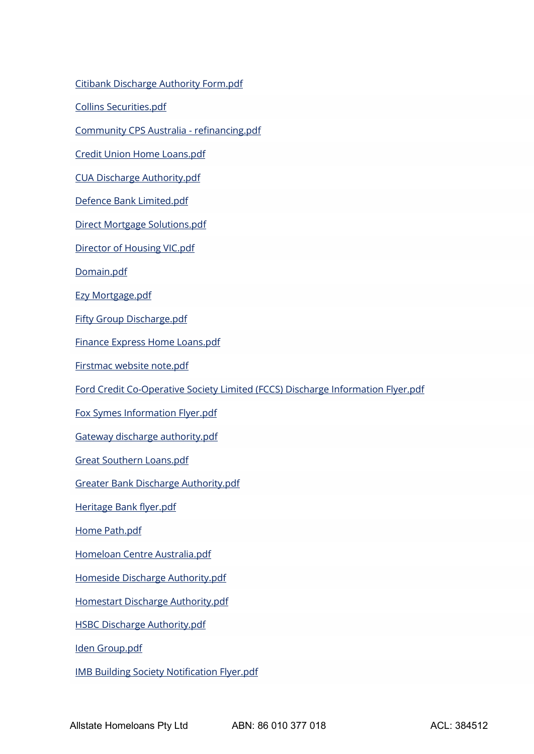[Citibank Discharge Authority Form.pdf](https://aus01.safelinks.protection.outlook.com/?url=https%3A%2F%2Fda.gadens.com%2FDischargeAuthorities%2FDocuments%2FCitibank%2520Discharge%2520Authority%2520Form.pdf&data=04%7C01%7Ctwells%40allstatehomeloans.com.au%7C973a67da29ea470f0c0608d95bd24b05%7C939182a6f44d48a7bbd0ebb375d9a0f9%7C1%7C1%7C637641781038283186%7CUnknown%7CTWFpbGZsb3d8eyJWIjoiMC4wLjAwMDAiLCJQIjoiV2luMzIiLCJBTiI6Ik1haWwiLCJXVCI6Mn0%3D%7C1000&sdata=6i2mX4vNG0KYjCVzxcU%2BOCwruwReGcjv8qQERFn02iQ%3D&reserved=0)

[Collins Securities.pdf](https://aus01.safelinks.protection.outlook.com/?url=https%3A%2F%2Fda.gadens.com%2FDischargeAuthorities%2FDocuments%2FCollins%2520Securities.pdf&data=04%7C01%7Ctwells%40allstatehomeloans.com.au%7C973a67da29ea470f0c0608d95bd24b05%7C939182a6f44d48a7bbd0ebb375d9a0f9%7C1%7C1%7C637641781038293136%7CUnknown%7CTWFpbGZsb3d8eyJWIjoiMC4wLjAwMDAiLCJQIjoiV2luMzIiLCJBTiI6Ik1haWwiLCJXVCI6Mn0%3D%7C1000&sdata=79dtzC2hTiBgTQwjELdnvJlWrYbAA3ZktM1qgp8fA2M%3D&reserved=0)

[Community CPS Australia -](https://aus01.safelinks.protection.outlook.com/?url=https%3A%2F%2Fda.gadens.com%2FDischargeAuthorities%2FDocuments%2FCommunity%2520CPS%2520Australia%2520-%2520refinancing.pdf&data=04%7C01%7Ctwells%40allstatehomeloans.com.au%7C973a67da29ea470f0c0608d95bd24b05%7C939182a6f44d48a7bbd0ebb375d9a0f9%7C1%7C1%7C637641781038293136%7CUnknown%7CTWFpbGZsb3d8eyJWIjoiMC4wLjAwMDAiLCJQIjoiV2luMzIiLCJBTiI6Ik1haWwiLCJXVCI6Mn0%3D%7C1000&sdata=PlqSrenDgGNAJvpNvSpKaIq3TyyoSPYmpKoyLjNazXI%3D&reserved=0) refinancing.pdf

[Credit Union Home Loans.pdf](https://aus01.safelinks.protection.outlook.com/?url=https%3A%2F%2Fda.gadens.com%2FDischargeAuthorities%2FDocuments%2FCredit%2520Union%2520Home%2520Loans.pdf&data=04%7C01%7Ctwells%40allstatehomeloans.com.au%7C973a67da29ea470f0c0608d95bd24b05%7C939182a6f44d48a7bbd0ebb375d9a0f9%7C1%7C1%7C637641781038303093%7CUnknown%7CTWFpbGZsb3d8eyJWIjoiMC4wLjAwMDAiLCJQIjoiV2luMzIiLCJBTiI6Ik1haWwiLCJXVCI6Mn0%3D%7C1000&sdata=StY0Cm5FEHeogiIDW9x4gLLhalxP5L2zTgdvoIWh9E4%3D&reserved=0)

[CUA Discharge Authority.pdf](https://aus01.safelinks.protection.outlook.com/?url=https%3A%2F%2Fda.gadens.com%2FDischargeAuthorities%2FDocuments%2FCUA%2520Discharge%2520Authority.pdf&data=04%7C01%7Ctwells%40allstatehomeloans.com.au%7C973a67da29ea470f0c0608d95bd24b05%7C939182a6f44d48a7bbd0ebb375d9a0f9%7C1%7C1%7C637641781038303093%7CUnknown%7CTWFpbGZsb3d8eyJWIjoiMC4wLjAwMDAiLCJQIjoiV2luMzIiLCJBTiI6Ik1haWwiLCJXVCI6Mn0%3D%7C1000&sdata=1MVVihTJgcn7jBrI155FBJoN%2BMyV6eFnrjxyC3ztEeQ%3D&reserved=0)

[Defence Bank Limited.pdf](https://aus01.safelinks.protection.outlook.com/?url=https%3A%2F%2Fda.gadens.com%2FDischargeAuthorities%2FDocuments%2FDefence%2520Bank%2520Limited.pdf&data=04%7C01%7Ctwells%40allstatehomeloans.com.au%7C973a67da29ea470f0c0608d95bd24b05%7C939182a6f44d48a7bbd0ebb375d9a0f9%7C1%7C1%7C637641781038313048%7CUnknown%7CTWFpbGZsb3d8eyJWIjoiMC4wLjAwMDAiLCJQIjoiV2luMzIiLCJBTiI6Ik1haWwiLCJXVCI6Mn0%3D%7C1000&sdata=0sFm8pRrf8VQ%2FosjwHI%2BaTyb3wf1gXd8gFSwrHsYmdE%3D&reserved=0)

[Direct Mortgage Solutions.pdf](https://aus01.safelinks.protection.outlook.com/?url=https%3A%2F%2Fda.gadens.com%2FDischargeAuthorities%2FDocuments%2FDirect%2520Mortgage%2520Solutions.pdf&data=04%7C01%7Ctwells%40allstatehomeloans.com.au%7C973a67da29ea470f0c0608d95bd24b05%7C939182a6f44d48a7bbd0ebb375d9a0f9%7C1%7C1%7C637641781038313048%7CUnknown%7CTWFpbGZsb3d8eyJWIjoiMC4wLjAwMDAiLCJQIjoiV2luMzIiLCJBTiI6Ik1haWwiLCJXVCI6Mn0%3D%7C1000&sdata=gjqgVv7s03fJApbzMCMVQkcahWXUXdTpwhAmtwAWFoc%3D&reserved=0)

[Director of Housing VIC.pdf](https://aus01.safelinks.protection.outlook.com/?url=https%3A%2F%2Fda.gadens.com%2FDischargeAuthorities%2FDocuments%2FDirector%2520of%2520Housing%2520VIC.pdf&data=04%7C01%7Ctwells%40allstatehomeloans.com.au%7C973a67da29ea470f0c0608d95bd24b05%7C939182a6f44d48a7bbd0ebb375d9a0f9%7C1%7C1%7C637641781038323007%7CUnknown%7CTWFpbGZsb3d8eyJWIjoiMC4wLjAwMDAiLCJQIjoiV2luMzIiLCJBTiI6Ik1haWwiLCJXVCI6Mn0%3D%7C1000&sdata=Y46hzOHNhJxFPdjj%2BvPbswH5NP86vc7KOVJZzEuiqkA%3D&reserved=0)

[Domain.pdf](https://aus01.safelinks.protection.outlook.com/?url=https%3A%2F%2Fda.gadens.com%2FDischargeAuthorities%2FDocuments%2FDomain.pdf&data=04%7C01%7Ctwells%40allstatehomeloans.com.au%7C973a67da29ea470f0c0608d95bd24b05%7C939182a6f44d48a7bbd0ebb375d9a0f9%7C1%7C1%7C637641781038323007%7CUnknown%7CTWFpbGZsb3d8eyJWIjoiMC4wLjAwMDAiLCJQIjoiV2luMzIiLCJBTiI6Ik1haWwiLCJXVCI6Mn0%3D%7C1000&sdata=VYQ4QhXKc7fba2eMterGDr8YC2B%2BKBe3H2PCdfgBmRc%3D&reserved=0)

[Ezy Mortgage.pdf](https://aus01.safelinks.protection.outlook.com/?url=https%3A%2F%2Fda.gadens.com%2FDischargeAuthorities%2FDocuments%2FEzy%2520Mortgage.pdf&data=04%7C01%7Ctwells%40allstatehomeloans.com.au%7C973a67da29ea470f0c0608d95bd24b05%7C939182a6f44d48a7bbd0ebb375d9a0f9%7C1%7C1%7C637641781038332959%7CUnknown%7CTWFpbGZsb3d8eyJWIjoiMC4wLjAwMDAiLCJQIjoiV2luMzIiLCJBTiI6Ik1haWwiLCJXVCI6Mn0%3D%7C1000&sdata=T6acaFeAqLHf7iLrQBh%2Fnd8vMKKTPNo2uNeOHsXqdcY%3D&reserved=0)

[Fifty Group Discharge.pdf](https://aus01.safelinks.protection.outlook.com/?url=https%3A%2F%2Fda.gadens.com%2FDischargeAuthorities%2FDocuments%2FFifty%2520Group%2520Discharge.pdf&data=04%7C01%7Ctwells%40allstatehomeloans.com.au%7C973a67da29ea470f0c0608d95bd24b05%7C939182a6f44d48a7bbd0ebb375d9a0f9%7C1%7C1%7C637641781038332959%7CUnknown%7CTWFpbGZsb3d8eyJWIjoiMC4wLjAwMDAiLCJQIjoiV2luMzIiLCJBTiI6Ik1haWwiLCJXVCI6Mn0%3D%7C1000&sdata=OWdQ1tDcIYvE3e%2BJNEMs3OGGkX3lLJ9HL2d9VlKXRnc%3D&reserved=0)

[Finance Express Home Loans.pdf](https://aus01.safelinks.protection.outlook.com/?url=https%3A%2F%2Fda.gadens.com%2FDischargeAuthorities%2FDocuments%2FFinance%2520Express%2520Home%2520Loans.pdf&data=04%7C01%7Ctwells%40allstatehomeloans.com.au%7C973a67da29ea470f0c0608d95bd24b05%7C939182a6f44d48a7bbd0ebb375d9a0f9%7C1%7C1%7C637641781038332959%7CUnknown%7CTWFpbGZsb3d8eyJWIjoiMC4wLjAwMDAiLCJQIjoiV2luMzIiLCJBTiI6Ik1haWwiLCJXVCI6Mn0%3D%7C1000&sdata=RREOKvfI29jvZ0OLtXD%2BsGgh7JPhvaKl0kqurR0js7w%3D&reserved=0)

[Firstmac website note.pdf](https://aus01.safelinks.protection.outlook.com/?url=https%3A%2F%2Fda.gadens.com%2FDischargeAuthorities%2FDocuments%2FFirstmac%2520website%2520note.pdf&data=04%7C01%7Ctwells%40allstatehomeloans.com.au%7C973a67da29ea470f0c0608d95bd24b05%7C939182a6f44d48a7bbd0ebb375d9a0f9%7C1%7C1%7C637641781038342916%7CUnknown%7CTWFpbGZsb3d8eyJWIjoiMC4wLjAwMDAiLCJQIjoiV2luMzIiLCJBTiI6Ik1haWwiLCJXVCI6Mn0%3D%7C1000&sdata=uAHxRVdrLDIBRShrvFQlm2R4fK2L2rTn7HJdmUT%2FAow%3D&reserved=0)

[Ford Credit Co-Operative Society Limited \(FCCS\) Discharge Information Flyer.pdf](https://aus01.safelinks.protection.outlook.com/?url=https%3A%2F%2Fda.gadens.com%2FDischargeAuthorities%2FDocuments%2FFord%2520Credit%2520Co-Operative%2520Society%2520Limited%2520(FCCS)%2520Discharge%2520Information%2520Flyer.pdf&data=04%7C01%7Ctwells%40allstatehomeloans.com.au%7C973a67da29ea470f0c0608d95bd24b05%7C939182a6f44d48a7bbd0ebb375d9a0f9%7C1%7C1%7C637641781038342916%7CUnknown%7CTWFpbGZsb3d8eyJWIjoiMC4wLjAwMDAiLCJQIjoiV2luMzIiLCJBTiI6Ik1haWwiLCJXVCI6Mn0%3D%7C1000&sdata=A%2B84sK%2BoMpsCGczGJzX5J4mOUU5Cebz00EyDB1fzrh8%3D&reserved=0)

[Fox Symes Information Flyer.pdf](https://aus01.safelinks.protection.outlook.com/?url=https%3A%2F%2Fda.gadens.com%2FDischargeAuthorities%2FDocuments%2FFox%2520Symes%2520Information%2520Flyer.pdf&data=04%7C01%7Ctwells%40allstatehomeloans.com.au%7C973a67da29ea470f0c0608d95bd24b05%7C939182a6f44d48a7bbd0ebb375d9a0f9%7C1%7C1%7C637641781038352873%7CUnknown%7CTWFpbGZsb3d8eyJWIjoiMC4wLjAwMDAiLCJQIjoiV2luMzIiLCJBTiI6Ik1haWwiLCJXVCI6Mn0%3D%7C1000&sdata=ik6xOJPJdPWoHOij5E3JqqsID9xZyf9IlzXd688S3ko%3D&reserved=0)

[Gateway discharge authority.pdf](https://aus01.safelinks.protection.outlook.com/?url=https%3A%2F%2Fda.gadens.com%2FDischargeAuthorities%2FDocuments%2FGateway%2520discharge%2520authority.pdf&data=04%7C01%7Ctwells%40allstatehomeloans.com.au%7C973a67da29ea470f0c0608d95bd24b05%7C939182a6f44d48a7bbd0ebb375d9a0f9%7C1%7C1%7C637641781038352873%7CUnknown%7CTWFpbGZsb3d8eyJWIjoiMC4wLjAwMDAiLCJQIjoiV2luMzIiLCJBTiI6Ik1haWwiLCJXVCI6Mn0%3D%7C1000&sdata=m22V71ZCJXf7i5jgscTwljqoHmKqX3jtXkU%2B094J0DE%3D&reserved=0)

[Great Southern Loans.pdf](https://aus01.safelinks.protection.outlook.com/?url=https%3A%2F%2Fda.gadens.com%2FDischargeAuthorities%2FDocuments%2FGreat%2520Southern%2520Loans.pdf&data=04%7C01%7Ctwells%40allstatehomeloans.com.au%7C973a67da29ea470f0c0608d95bd24b05%7C939182a6f44d48a7bbd0ebb375d9a0f9%7C1%7C1%7C637641781038362828%7CUnknown%7CTWFpbGZsb3d8eyJWIjoiMC4wLjAwMDAiLCJQIjoiV2luMzIiLCJBTiI6Ik1haWwiLCJXVCI6Mn0%3D%7C1000&sdata=WT%2BmfcqFayHxIXZ3h2%2BmYnvbsW7F02IsM3poayhF19s%3D&reserved=0)

[Greater Bank Discharge Authority.pdf](https://aus01.safelinks.protection.outlook.com/?url=https%3A%2F%2Fda.gadens.com%2FDischargeAuthorities%2FDocuments%2FGreater%2520Bank%2520Discharge%2520Authority.pdf&data=04%7C01%7Ctwells%40allstatehomeloans.com.au%7C973a67da29ea470f0c0608d95bd24b05%7C939182a6f44d48a7bbd0ebb375d9a0f9%7C1%7C1%7C637641781038362828%7CUnknown%7CTWFpbGZsb3d8eyJWIjoiMC4wLjAwMDAiLCJQIjoiV2luMzIiLCJBTiI6Ik1haWwiLCJXVCI6Mn0%3D%7C1000&sdata=JzVB%2B6oxdEAYwlISEdteYXiTxNwWXUdqUfyMsthythw%3D&reserved=0)

[Heritage Bank flyer.pdf](https://aus01.safelinks.protection.outlook.com/?url=https%3A%2F%2Fda.gadens.com%2FDischargeAuthorities%2FDocuments%2FHeritage%2520Bank%2520flyer.pdf&data=04%7C01%7Ctwells%40allstatehomeloans.com.au%7C973a67da29ea470f0c0608d95bd24b05%7C939182a6f44d48a7bbd0ebb375d9a0f9%7C1%7C1%7C637641781038362828%7CUnknown%7CTWFpbGZsb3d8eyJWIjoiMC4wLjAwMDAiLCJQIjoiV2luMzIiLCJBTiI6Ik1haWwiLCJXVCI6Mn0%3D%7C1000&sdata=2nsXKt3s6xN23dloP%2B0aSsffmbBMAfHtLQkkuWxsIxY%3D&reserved=0)

[Home Path.pdf](https://aus01.safelinks.protection.outlook.com/?url=https%3A%2F%2Fda.gadens.com%2FDischargeAuthorities%2FDocuments%2FHome%2520Path.pdf&data=04%7C01%7Ctwells%40allstatehomeloans.com.au%7C973a67da29ea470f0c0608d95bd24b05%7C939182a6f44d48a7bbd0ebb375d9a0f9%7C1%7C1%7C637641781038372783%7CUnknown%7CTWFpbGZsb3d8eyJWIjoiMC4wLjAwMDAiLCJQIjoiV2luMzIiLCJBTiI6Ik1haWwiLCJXVCI6Mn0%3D%7C1000&sdata=g1H3hpGDK6BzEUfqrZlx2cXo5NZdMAQebrzbAkR60wo%3D&reserved=0)

[Homeloan Centre Australia.pdf](https://aus01.safelinks.protection.outlook.com/?url=https%3A%2F%2Fda.gadens.com%2FDischargeAuthorities%2FDocuments%2FHomeloan%2520Centre%2520Australia.pdf&data=04%7C01%7Ctwells%40allstatehomeloans.com.au%7C973a67da29ea470f0c0608d95bd24b05%7C939182a6f44d48a7bbd0ebb375d9a0f9%7C1%7C1%7C637641781038372783%7CUnknown%7CTWFpbGZsb3d8eyJWIjoiMC4wLjAwMDAiLCJQIjoiV2luMzIiLCJBTiI6Ik1haWwiLCJXVCI6Mn0%3D%7C1000&sdata=%2B%2FJ%2BDen64wGfxxsqHh6v8B9z2c%2FWANx0yuThFHyfSzo%3D&reserved=0)

[Homeside Discharge Authority.pdf](https://aus01.safelinks.protection.outlook.com/?url=https%3A%2F%2Fda.gadens.com%2FDischargeAuthorities%2FDocuments%2FHomeside%2520Discharge%2520Authority.pdf&data=04%7C01%7Ctwells%40allstatehomeloans.com.au%7C973a67da29ea470f0c0608d95bd24b05%7C939182a6f44d48a7bbd0ebb375d9a0f9%7C1%7C1%7C637641781038382740%7CUnknown%7CTWFpbGZsb3d8eyJWIjoiMC4wLjAwMDAiLCJQIjoiV2luMzIiLCJBTiI6Ik1haWwiLCJXVCI6Mn0%3D%7C1000&sdata=6quhH9NOThiIUMcSUnn0iD%2BemYKhonU7tNlkOzysfHQ%3D&reserved=0)

[Homestart Discharge Authority.pdf](https://aus01.safelinks.protection.outlook.com/?url=https%3A%2F%2Fda.gadens.com%2FDischargeAuthorities%2FDocuments%2FHomestart%2520Discharge%2520Authority.pdf&data=04%7C01%7Ctwells%40allstatehomeloans.com.au%7C973a67da29ea470f0c0608d95bd24b05%7C939182a6f44d48a7bbd0ebb375d9a0f9%7C1%7C1%7C637641781038382740%7CUnknown%7CTWFpbGZsb3d8eyJWIjoiMC4wLjAwMDAiLCJQIjoiV2luMzIiLCJBTiI6Ik1haWwiLCJXVCI6Mn0%3D%7C1000&sdata=lEuqVp0rOKPuw1XC1hkXrbOM6VaSWfnKzjmHGklapHA%3D&reserved=0)

[HSBC Discharge Authority.pdf](https://aus01.safelinks.protection.outlook.com/?url=https%3A%2F%2Fda.gadens.com%2FDischargeAuthorities%2FDocuments%2FHSBC%2520Discharge%2520Authority.pdf&data=04%7C01%7Ctwells%40allstatehomeloans.com.au%7C973a67da29ea470f0c0608d95bd24b05%7C939182a6f44d48a7bbd0ebb375d9a0f9%7C1%7C1%7C637641781038392702%7CUnknown%7CTWFpbGZsb3d8eyJWIjoiMC4wLjAwMDAiLCJQIjoiV2luMzIiLCJBTiI6Ik1haWwiLCJXVCI6Mn0%3D%7C1000&sdata=cS%2BYLf1q6mlphqG4m2my5iTPbTk7VGj6%2FTd7jpNCjCo%3D&reserved=0)

[Iden Group.pdf](https://aus01.safelinks.protection.outlook.com/?url=https%3A%2F%2Fda.gadens.com%2FDischargeAuthorities%2FDocuments%2FIden%2520Group.pdf&data=04%7C01%7Ctwells%40allstatehomeloans.com.au%7C973a67da29ea470f0c0608d95bd24b05%7C939182a6f44d48a7bbd0ebb375d9a0f9%7C1%7C1%7C637641781038392702%7CUnknown%7CTWFpbGZsb3d8eyJWIjoiMC4wLjAwMDAiLCJQIjoiV2luMzIiLCJBTiI6Ik1haWwiLCJXVCI6Mn0%3D%7C1000&sdata=Dpeer6jy6Ow7ox6XmqsqoOmJh8iO6B5Guk0RP0Wdq5E%3D&reserved=0)

[IMB Building Society Notification Flyer.pdf](https://aus01.safelinks.protection.outlook.com/?url=https%3A%2F%2Fda.gadens.com%2FDischargeAuthorities%2FDocuments%2FIMB%2520Building%2520Society%2520Notification%2520Flyer.pdf&data=04%7C01%7Ctwells%40allstatehomeloans.com.au%7C973a67da29ea470f0c0608d95bd24b05%7C939182a6f44d48a7bbd0ebb375d9a0f9%7C1%7C1%7C637641781038402657%7CUnknown%7CTWFpbGZsb3d8eyJWIjoiMC4wLjAwMDAiLCJQIjoiV2luMzIiLCJBTiI6Ik1haWwiLCJXVCI6Mn0%3D%7C1000&sdata=hf2WgaNaSoUdVDEox94ZRnd6N65DFJ7YJeei6CZb%2FOk%3D&reserved=0)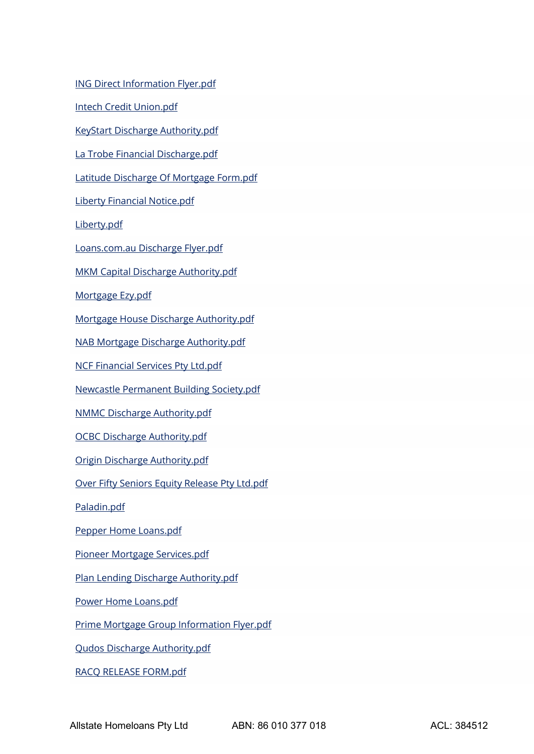[ING Direct Information Flyer.pdf](https://aus01.safelinks.protection.outlook.com/?url=https%3A%2F%2Fda.gadens.com%2FDischargeAuthorities%2FDocuments%2FING%2520Direct%2520Information%2520Flyer.pdf&data=04%7C01%7Ctwells%40allstatehomeloans.com.au%7C973a67da29ea470f0c0608d95bd24b05%7C939182a6f44d48a7bbd0ebb375d9a0f9%7C1%7C1%7C637641781038402657%7CUnknown%7CTWFpbGZsb3d8eyJWIjoiMC4wLjAwMDAiLCJQIjoiV2luMzIiLCJBTiI6Ik1haWwiLCJXVCI6Mn0%3D%7C1000&sdata=npWEJ57BtK4PWk3jMXKDSWAIKWhOZvpKUNqER1XS%2FwM%3D&reserved=0)

[Intech Credit Union.pdf](https://aus01.safelinks.protection.outlook.com/?url=https%3A%2F%2Fda.gadens.com%2FDischargeAuthorities%2FDocuments%2FIntech%2520Credit%2520Union.pdf&data=04%7C01%7Ctwells%40allstatehomeloans.com.au%7C973a67da29ea470f0c0608d95bd24b05%7C939182a6f44d48a7bbd0ebb375d9a0f9%7C1%7C1%7C637641781038402657%7CUnknown%7CTWFpbGZsb3d8eyJWIjoiMC4wLjAwMDAiLCJQIjoiV2luMzIiLCJBTiI6Ik1haWwiLCJXVCI6Mn0%3D%7C1000&sdata=NinCwrExIGT%2FsQvdP3Pe7l%2F69mGmyoj09PyykUzCgoE%3D&reserved=0)

[KeyStart Discharge Authority.pdf](https://aus01.safelinks.protection.outlook.com/?url=https%3A%2F%2Fda.gadens.com%2FDischargeAuthorities%2FDocuments%2FKeyStart%2520Discharge%2520Authority.pdf&data=04%7C01%7Ctwells%40allstatehomeloans.com.au%7C973a67da29ea470f0c0608d95bd24b05%7C939182a6f44d48a7bbd0ebb375d9a0f9%7C1%7C1%7C637641781038412623%7CUnknown%7CTWFpbGZsb3d8eyJWIjoiMC4wLjAwMDAiLCJQIjoiV2luMzIiLCJBTiI6Ik1haWwiLCJXVCI6Mn0%3D%7C1000&sdata=I2Mfx5yrVQ2TX4bVVPQUofxbfkwimURK7s2dl0VACe0%3D&reserved=0)

[La Trobe Financial Discharge.pdf](https://aus01.safelinks.protection.outlook.com/?url=https%3A%2F%2Fda.gadens.com%2FDischargeAuthorities%2FDocuments%2FLa%2520Trobe%2520Financial%2520Discharge.pdf&data=04%7C01%7Ctwells%40allstatehomeloans.com.au%7C973a67da29ea470f0c0608d95bd24b05%7C939182a6f44d48a7bbd0ebb375d9a0f9%7C1%7C1%7C637641781038412623%7CUnknown%7CTWFpbGZsb3d8eyJWIjoiMC4wLjAwMDAiLCJQIjoiV2luMzIiLCJBTiI6Ik1haWwiLCJXVCI6Mn0%3D%7C1000&sdata=2mikgDvZZ%2FKvkz70Xjl2R%2FAbz%2FeeUSueUzE7ZoaYoH8%3D&reserved=0)

[Latitude Discharge Of Mortgage Form.pdf](https://aus01.safelinks.protection.outlook.com/?url=https%3A%2F%2Fda.gadens.com%2FDischargeAuthorities%2FDocuments%2FLatitude%2520Discharge%2520Of%2520Mortgage%2520Form.pdf&data=04%7C01%7Ctwells%40allstatehomeloans.com.au%7C973a67da29ea470f0c0608d95bd24b05%7C939182a6f44d48a7bbd0ebb375d9a0f9%7C1%7C1%7C637641781038422572%7CUnknown%7CTWFpbGZsb3d8eyJWIjoiMC4wLjAwMDAiLCJQIjoiV2luMzIiLCJBTiI6Ik1haWwiLCJXVCI6Mn0%3D%7C1000&sdata=hyob%2FjPJdSm7CYZ8MpreBSk0f0bGniPTdKtp0EE5bZY%3D&reserved=0)

[Liberty Financial Notice.pdf](https://aus01.safelinks.protection.outlook.com/?url=https%3A%2F%2Fda.gadens.com%2FDischargeAuthorities%2FDocuments%2FLiberty%2520Financial%2520Notice.pdf&data=04%7C01%7Ctwells%40allstatehomeloans.com.au%7C973a67da29ea470f0c0608d95bd24b05%7C939182a6f44d48a7bbd0ebb375d9a0f9%7C1%7C1%7C637641781038422572%7CUnknown%7CTWFpbGZsb3d8eyJWIjoiMC4wLjAwMDAiLCJQIjoiV2luMzIiLCJBTiI6Ik1haWwiLCJXVCI6Mn0%3D%7C1000&sdata=xDw0ViwVtU8iOLBoxktCrmk8Gg1ud25To6CbGPkVsOk%3D&reserved=0)

[Liberty.pdf](https://aus01.safelinks.protection.outlook.com/?url=https%3A%2F%2Fda.gadens.com%2FDischargeAuthorities%2FDocuments%2FLiberty.pdf&data=04%7C01%7Ctwells%40allstatehomeloans.com.au%7C973a67da29ea470f0c0608d95bd24b05%7C939182a6f44d48a7bbd0ebb375d9a0f9%7C1%7C1%7C637641781038432528%7CUnknown%7CTWFpbGZsb3d8eyJWIjoiMC4wLjAwMDAiLCJQIjoiV2luMzIiLCJBTiI6Ik1haWwiLCJXVCI6Mn0%3D%7C1000&sdata=3y5UKEq4rJctuuh5kUApDvYFzXEDCOcQemQ4bJOKIYQ%3D&reserved=0)

[Loans.com.au Discharge Flyer.pdf](https://aus01.safelinks.protection.outlook.com/?url=https%3A%2F%2Fda.gadens.com%2FDischargeAuthorities%2FDocuments%2FLoans.com.au%2520Discharge%2520Flyer.pdf&data=04%7C01%7Ctwells%40allstatehomeloans.com.au%7C973a67da29ea470f0c0608d95bd24b05%7C939182a6f44d48a7bbd0ebb375d9a0f9%7C1%7C1%7C637641781038432528%7CUnknown%7CTWFpbGZsb3d8eyJWIjoiMC4wLjAwMDAiLCJQIjoiV2luMzIiLCJBTiI6Ik1haWwiLCJXVCI6Mn0%3D%7C1000&sdata=nr4ci0UGQpHFfNae2on8N94s%2BUHZNOGF71xiRhu097I%3D&reserved=0)

[MKM Capital Discharge Authority.pdf](https://aus01.safelinks.protection.outlook.com/?url=https%3A%2F%2Fda.gadens.com%2FDischargeAuthorities%2FDocuments%2FMKM%2520Capital%2520Discharge%2520Authority.pdf&data=04%7C01%7Ctwells%40allstatehomeloans.com.au%7C973a67da29ea470f0c0608d95bd24b05%7C939182a6f44d48a7bbd0ebb375d9a0f9%7C1%7C1%7C637641781038442490%7CUnknown%7CTWFpbGZsb3d8eyJWIjoiMC4wLjAwMDAiLCJQIjoiV2luMzIiLCJBTiI6Ik1haWwiLCJXVCI6Mn0%3D%7C1000&sdata=P2zht4AiE19769MrlC89mAF9qUX0iMsz4C47o9lUpZE%3D&reserved=0)

[Mortgage Ezy.pdf](https://aus01.safelinks.protection.outlook.com/?url=https%3A%2F%2Fda.gadens.com%2FDischargeAuthorities%2FDocuments%2FMortgage%2520Ezy.pdf&data=04%7C01%7Ctwells%40allstatehomeloans.com.au%7C973a67da29ea470f0c0608d95bd24b05%7C939182a6f44d48a7bbd0ebb375d9a0f9%7C1%7C1%7C637641781038442490%7CUnknown%7CTWFpbGZsb3d8eyJWIjoiMC4wLjAwMDAiLCJQIjoiV2luMzIiLCJBTiI6Ik1haWwiLCJXVCI6Mn0%3D%7C1000&sdata=S7XV%2BtiGf4GPRshs3IBFzH%2BpCRqPOXOVPxl6HRIumxQ%3D&reserved=0)

[Mortgage House Discharge Authority.pdf](https://aus01.safelinks.protection.outlook.com/?url=https%3A%2F%2Fda.gadens.com%2FDischargeAuthorities%2FDocuments%2FMortgage%2520House%2520Discharge%2520Authority.pdf&data=04%7C01%7Ctwells%40allstatehomeloans.com.au%7C973a67da29ea470f0c0608d95bd24b05%7C939182a6f44d48a7bbd0ebb375d9a0f9%7C1%7C1%7C637641781038452441%7CUnknown%7CTWFpbGZsb3d8eyJWIjoiMC4wLjAwMDAiLCJQIjoiV2luMzIiLCJBTiI6Ik1haWwiLCJXVCI6Mn0%3D%7C1000&sdata=T11pb4XXvzwDw3bIP1k18PTTzabj1UzadFIYzHTbGKM%3D&reserved=0)

[NAB Mortgage Discharge Authority.pdf](https://aus01.safelinks.protection.outlook.com/?url=https%3A%2F%2Fda.gadens.com%2FDischargeAuthorities%2FDocuments%2FNAB%2520Mortgage%2520Discharge%2520Authority.pdf&data=04%7C01%7Ctwells%40allstatehomeloans.com.au%7C973a67da29ea470f0c0608d95bd24b05%7C939182a6f44d48a7bbd0ebb375d9a0f9%7C1%7C1%7C637641781038452441%7CUnknown%7CTWFpbGZsb3d8eyJWIjoiMC4wLjAwMDAiLCJQIjoiV2luMzIiLCJBTiI6Ik1haWwiLCJXVCI6Mn0%3D%7C1000&sdata=1J0Z%2B62DNL0B%2Flls4Uo1AJEDXCcHwQfzQT3WMyErbV8%3D&reserved=0)

[NCF Financial Services Pty Ltd.pdf](https://aus01.safelinks.protection.outlook.com/?url=https%3A%2F%2Fda.gadens.com%2FDischargeAuthorities%2FDocuments%2FNCF%2520Financial%2520Services%2520Pty%2520Ltd.pdf&data=04%7C01%7Ctwells%40allstatehomeloans.com.au%7C973a67da29ea470f0c0608d95bd24b05%7C939182a6f44d48a7bbd0ebb375d9a0f9%7C1%7C1%7C637641781038452441%7CUnknown%7CTWFpbGZsb3d8eyJWIjoiMC4wLjAwMDAiLCJQIjoiV2luMzIiLCJBTiI6Ik1haWwiLCJXVCI6Mn0%3D%7C1000&sdata=b9MsaSMJzQS%2B1XmfGv%2B1T8F4tAIMabdzW37FtkD6zKg%3D&reserved=0)

[Newcastle Permanent Building Society.pdf](https://aus01.safelinks.protection.outlook.com/?url=https%3A%2F%2Fda.gadens.com%2FDischargeAuthorities%2FDocuments%2FNewcastle%2520Permanent%2520Building%2520Society.pdf&data=04%7C01%7Ctwells%40allstatehomeloans.com.au%7C973a67da29ea470f0c0608d95bd24b05%7C939182a6f44d48a7bbd0ebb375d9a0f9%7C1%7C1%7C637641781038462393%7CUnknown%7CTWFpbGZsb3d8eyJWIjoiMC4wLjAwMDAiLCJQIjoiV2luMzIiLCJBTiI6Ik1haWwiLCJXVCI6Mn0%3D%7C1000&sdata=JiMSExoqp28J4vHVnvfclCFVpcFMuxsnZOa4AeSeBR4%3D&reserved=0)

[NMMC Discharge Authority.pdf](https://aus01.safelinks.protection.outlook.com/?url=https%3A%2F%2Fda.gadens.com%2FDischargeAuthorities%2FDocuments%2FNMMC%2520Discharge%2520Authority.pdf&data=04%7C01%7Ctwells%40allstatehomeloans.com.au%7C973a67da29ea470f0c0608d95bd24b05%7C939182a6f44d48a7bbd0ebb375d9a0f9%7C1%7C1%7C637641781038462393%7CUnknown%7CTWFpbGZsb3d8eyJWIjoiMC4wLjAwMDAiLCJQIjoiV2luMzIiLCJBTiI6Ik1haWwiLCJXVCI6Mn0%3D%7C1000&sdata=QgBD7CLZBY4O1VHeapBdYJQdKBBcXqUqqACqFdKxZkQ%3D&reserved=0)

[OCBC Discharge Authority.pdf](https://aus01.safelinks.protection.outlook.com/?url=https%3A%2F%2Fda.gadens.com%2FDischargeAuthorities%2FDocuments%2FOCBC%2520Discharge%2520Authority.pdf&data=04%7C01%7Ctwells%40allstatehomeloans.com.au%7C973a67da29ea470f0c0608d95bd24b05%7C939182a6f44d48a7bbd0ebb375d9a0f9%7C1%7C1%7C637641781038472348%7CUnknown%7CTWFpbGZsb3d8eyJWIjoiMC4wLjAwMDAiLCJQIjoiV2luMzIiLCJBTiI6Ik1haWwiLCJXVCI6Mn0%3D%7C1000&sdata=TJvCsXGqJvbHXacm%2FOJ1UL1JTceO5UjYwDa944u2iHY%3D&reserved=0)

[Origin Discharge Authority.pdf](https://aus01.safelinks.protection.outlook.com/?url=https%3A%2F%2Fda.gadens.com%2FDischargeAuthorities%2FDocuments%2FOrigin%2520Discharge%2520Authority.pdf&data=04%7C01%7Ctwells%40allstatehomeloans.com.au%7C973a67da29ea470f0c0608d95bd24b05%7C939182a6f44d48a7bbd0ebb375d9a0f9%7C1%7C1%7C637641781038472348%7CUnknown%7CTWFpbGZsb3d8eyJWIjoiMC4wLjAwMDAiLCJQIjoiV2luMzIiLCJBTiI6Ik1haWwiLCJXVCI6Mn0%3D%7C1000&sdata=GEmfGtyINhqt8TTG%2F%2F%2FaLZNSpAGMvLPe9M5fLT7d5U0%3D&reserved=0)

[Over Fifty Seniors Equity Release Pty Ltd.pdf](https://aus01.safelinks.protection.outlook.com/?url=https%3A%2F%2Fda.gadens.com%2FDischargeAuthorities%2FDocuments%2FOver%2520Fifty%2520Seniors%2520Equity%2520Release%2520Pty%2520Ltd.pdf&data=04%7C01%7Ctwells%40allstatehomeloans.com.au%7C973a67da29ea470f0c0608d95bd24b05%7C939182a6f44d48a7bbd0ebb375d9a0f9%7C1%7C1%7C637641781038482304%7CUnknown%7CTWFpbGZsb3d8eyJWIjoiMC4wLjAwMDAiLCJQIjoiV2luMzIiLCJBTiI6Ik1haWwiLCJXVCI6Mn0%3D%7C1000&sdata=pK8MjXEl1vAhT0%2FC0ABOVwcmFWnhzIBN%2F%2FIxeP%2FUvGU%3D&reserved=0)

[Paladin.pdf](https://aus01.safelinks.protection.outlook.com/?url=https%3A%2F%2Fda.gadens.com%2FDischargeAuthorities%2FDocuments%2FPaladin.pdf&data=04%7C01%7Ctwells%40allstatehomeloans.com.au%7C973a67da29ea470f0c0608d95bd24b05%7C939182a6f44d48a7bbd0ebb375d9a0f9%7C1%7C1%7C637641781038482304%7CUnknown%7CTWFpbGZsb3d8eyJWIjoiMC4wLjAwMDAiLCJQIjoiV2luMzIiLCJBTiI6Ik1haWwiLCJXVCI6Mn0%3D%7C1000&sdata=HXEawZ2BRfiPYSHdiV4HekRwicjCOZsWQ6Ch%2BkoeDdk%3D&reserved=0)

[Pepper Home Loans.pdf](https://aus01.safelinks.protection.outlook.com/?url=https%3A%2F%2Fda.gadens.com%2FDischargeAuthorities%2FDocuments%2FPepper%2520Home%2520Loans.pdf&data=04%7C01%7Ctwells%40allstatehomeloans.com.au%7C973a67da29ea470f0c0608d95bd24b05%7C939182a6f44d48a7bbd0ebb375d9a0f9%7C1%7C1%7C637641781038492260%7CUnknown%7CTWFpbGZsb3d8eyJWIjoiMC4wLjAwMDAiLCJQIjoiV2luMzIiLCJBTiI6Ik1haWwiLCJXVCI6Mn0%3D%7C1000&sdata=GMsyoljktrqoDKjDxBSt61S4LB6koy5uHikT0OODkTs%3D&reserved=0)

[Pioneer Mortgage Services.pdf](https://aus01.safelinks.protection.outlook.com/?url=https%3A%2F%2Fda.gadens.com%2FDischargeAuthorities%2FDocuments%2FPioneer%2520Mortgage%2520Services.pdf&data=04%7C01%7Ctwells%40allstatehomeloans.com.au%7C973a67da29ea470f0c0608d95bd24b05%7C939182a6f44d48a7bbd0ebb375d9a0f9%7C1%7C1%7C637641781038492260%7CUnknown%7CTWFpbGZsb3d8eyJWIjoiMC4wLjAwMDAiLCJQIjoiV2luMzIiLCJBTiI6Ik1haWwiLCJXVCI6Mn0%3D%7C1000&sdata=QuK%2BWm6ddtWvAjdlBnMnG6UqWFVevdnmVQX5xoE7XCc%3D&reserved=0)

[Plan Lending Discharge Authority.pdf](https://aus01.safelinks.protection.outlook.com/?url=https%3A%2F%2Fda.gadens.com%2FDischargeAuthorities%2FDocuments%2FPlan%2520Lending%2520Discharge%2520Authority.pdf&data=04%7C01%7Ctwells%40allstatehomeloans.com.au%7C973a67da29ea470f0c0608d95bd24b05%7C939182a6f44d48a7bbd0ebb375d9a0f9%7C1%7C1%7C637641781038492260%7CUnknown%7CTWFpbGZsb3d8eyJWIjoiMC4wLjAwMDAiLCJQIjoiV2luMzIiLCJBTiI6Ik1haWwiLCJXVCI6Mn0%3D%7C1000&sdata=24nNGa4mycvq34qJjYlXcul8hnP%2F%2FkFPPHIgTUdpqHU%3D&reserved=0)

[Power Home Loans.pdf](https://aus01.safelinks.protection.outlook.com/?url=https%3A%2F%2Fda.gadens.com%2FDischargeAuthorities%2FDocuments%2FPower%2520Home%2520Loans.pdf&data=04%7C01%7Ctwells%40allstatehomeloans.com.au%7C973a67da29ea470f0c0608d95bd24b05%7C939182a6f44d48a7bbd0ebb375d9a0f9%7C1%7C1%7C637641781038502216%7CUnknown%7CTWFpbGZsb3d8eyJWIjoiMC4wLjAwMDAiLCJQIjoiV2luMzIiLCJBTiI6Ik1haWwiLCJXVCI6Mn0%3D%7C1000&sdata=96JSL3zuPH8J0fH3neLYVS0%2Bo1hLJS%2FhP2H%2BqWhefTc%3D&reserved=0)

[Prime Mortgage Group Information Flyer.pdf](https://aus01.safelinks.protection.outlook.com/?url=https%3A%2F%2Fda.gadens.com%2FDischargeAuthorities%2FDocuments%2FPrime%2520Mortgage%2520Group%2520Information%2520Flyer.pdf&data=04%7C01%7Ctwells%40allstatehomeloans.com.au%7C973a67da29ea470f0c0608d95bd24b05%7C939182a6f44d48a7bbd0ebb375d9a0f9%7C1%7C1%7C637641781038502216%7CUnknown%7CTWFpbGZsb3d8eyJWIjoiMC4wLjAwMDAiLCJQIjoiV2luMzIiLCJBTiI6Ik1haWwiLCJXVCI6Mn0%3D%7C1000&sdata=2i4IeK4bPdklFWSP8QOSFxdV2TM3J9yL1NAY1yH8cP4%3D&reserved=0)

[Qudos Discharge Authority.pdf](https://aus01.safelinks.protection.outlook.com/?url=https%3A%2F%2Fda.gadens.com%2FDischargeAuthorities%2FDocuments%2FQudos%2520Discharge%2520Authority.pdf&data=04%7C01%7Ctwells%40allstatehomeloans.com.au%7C973a67da29ea470f0c0608d95bd24b05%7C939182a6f44d48a7bbd0ebb375d9a0f9%7C1%7C1%7C637641781038512169%7CUnknown%7CTWFpbGZsb3d8eyJWIjoiMC4wLjAwMDAiLCJQIjoiV2luMzIiLCJBTiI6Ik1haWwiLCJXVCI6Mn0%3D%7C1000&sdata=nNcNt3jEyzmYNRgdnobcmkPA55JtP9cgr273JOkU%2Btk%3D&reserved=0)

[RACQ RELEASE FORM.pdf](https://aus01.safelinks.protection.outlook.com/?url=https%3A%2F%2Fda.gadens.com%2FDischargeAuthorities%2FDocuments%2FRACQ%2520RELEASE%2520FORM.pdf&data=04%7C01%7Ctwells%40allstatehomeloans.com.au%7C973a67da29ea470f0c0608d95bd24b05%7C939182a6f44d48a7bbd0ebb375d9a0f9%7C1%7C1%7C637641781038512169%7CUnknown%7CTWFpbGZsb3d8eyJWIjoiMC4wLjAwMDAiLCJQIjoiV2luMzIiLCJBTiI6Ik1haWwiLCJXVCI6Mn0%3D%7C1000&sdata=g6HLZg4GgW%2BFSeMcQXyAt9SGhFIZag%2Bip3bSiiojjS8%3D&reserved=0)